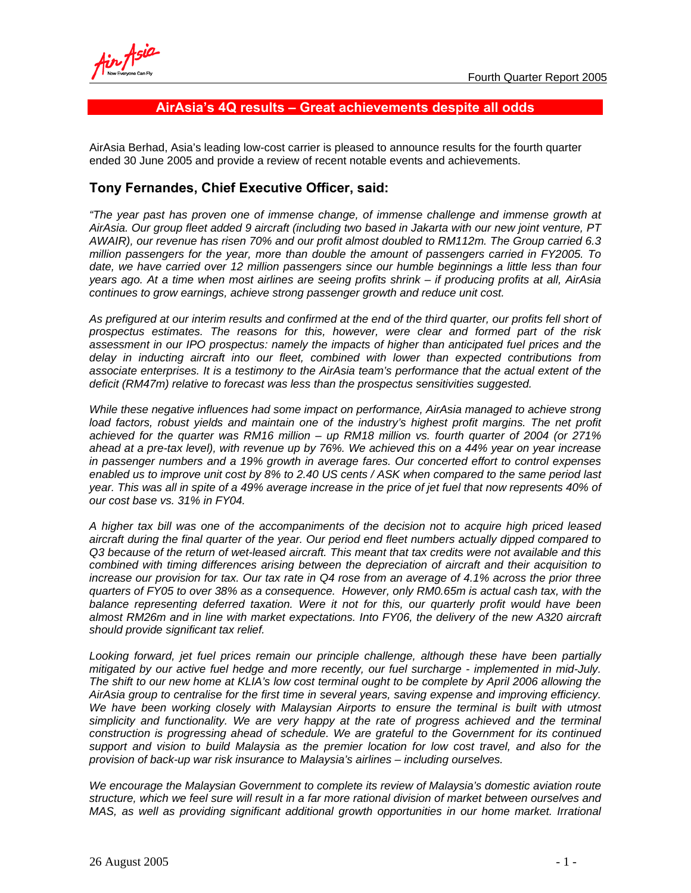## **AirAsia's 4Q results – Great achievements despite all odds**

AirAsia Berhad, Asia's leading low-cost carrier is pleased to announce results for the fourth quarter ended 30 June 2005 and provide a review of recent notable events and achievements.

## **Tony Fernandes, Chief Executive Officer, said:**

*"The year past has proven one of immense change, of immense challenge and immense growth at AirAsia. Our group fleet added 9 aircraft (including two based in Jakarta with our new joint venture, PT AWAIR), our revenue has risen 70% and our profit almost doubled to RM112m. The Group carried 6.3 million passengers for the year, more than double the amount of passengers carried in FY2005. To date, we have carried over 12 million passengers since our humble beginnings a little less than four years ago. At a time when most airlines are seeing profits shrink – if producing profits at all, AirAsia continues to grow earnings, achieve strong passenger growth and reduce unit cost.* 

*As prefigured at our interim results and confirmed at the end of the third quarter, our profits fell short of prospectus estimates. The reasons for this, however, were clear and formed part of the risk assessment in our IPO prospectus: namely the impacts of higher than anticipated fuel prices and the delay in inducting aircraft into our fleet, combined with lower than expected contributions from associate enterprises. It is a testimony to the AirAsia team's performance that the actual extent of the deficit (RM47m) relative to forecast was less than the prospectus sensitivities suggested.* 

*While these negative influences had some impact on performance, AirAsia managed to achieve strong*  load factors, robust yields and maintain one of the industry's highest profit margins. The net profit *achieved for the quarter was RM16 million – up RM18 million vs. fourth quarter of 2004 (or 271% ahead at a pre-tax level), with revenue up by 76%. We achieved this on a 44% year on year increase in passenger numbers and a 19% growth in average fares. Our concerted effort to control expenses enabled us to improve unit cost by 8% to 2.40 US cents / ASK when compared to the same period last year. This was all in spite of a 49% average increase in the price of jet fuel that now represents 40% of our cost base vs. 31% in FY04.*

*A higher tax bill was one of the accompaniments of the decision not to acquire high priced leased aircraft during the final quarter of the year. Our period end fleet numbers actually dipped compared to Q3 because of the return of wet-leased aircraft. This meant that tax credits were not available and this combined with timing differences arising between the depreciation of aircraft and their acquisition to increase our provision for tax. Our tax rate in Q4 rose from an average of 4.1% across the prior three quarters of FY05 to over 38% as a consequence. However, only RM0.65m is actual cash tax, with the balance representing deferred taxation. Were it not for this, our quarterly profit would have been almost RM26m and in line with market expectations. Into FY06, the delivery of the new A320 aircraft should provide significant tax relief.* 

*Looking forward, jet fuel prices remain our principle challenge, although these have been partially mitigated by our active fuel hedge and more recently, our fuel surcharge - implemented in mid-July. The shift to our new home at KLIA's low cost terminal ought to be complete by April 2006 allowing the AirAsia group to centralise for the first time in several years, saving expense and improving efficiency. We have been working closely with Malaysian Airports to ensure the terminal is built with utmost simplicity and functionality. We are very happy at the rate of progress achieved and the terminal construction is progressing ahead of schedule. We are grateful to the Government for its continued support and vision to build Malaysia as the premier location for low cost travel, and also for the provision of back-up war risk insurance to Malaysia's airlines – including ourselves.* 

*We encourage the Malaysian Government to complete its review of Malaysia's domestic aviation route structure, which we feel sure will result in a far more rational division of market between ourselves and MAS, as well as providing significant additional growth opportunities in our home market. Irrational*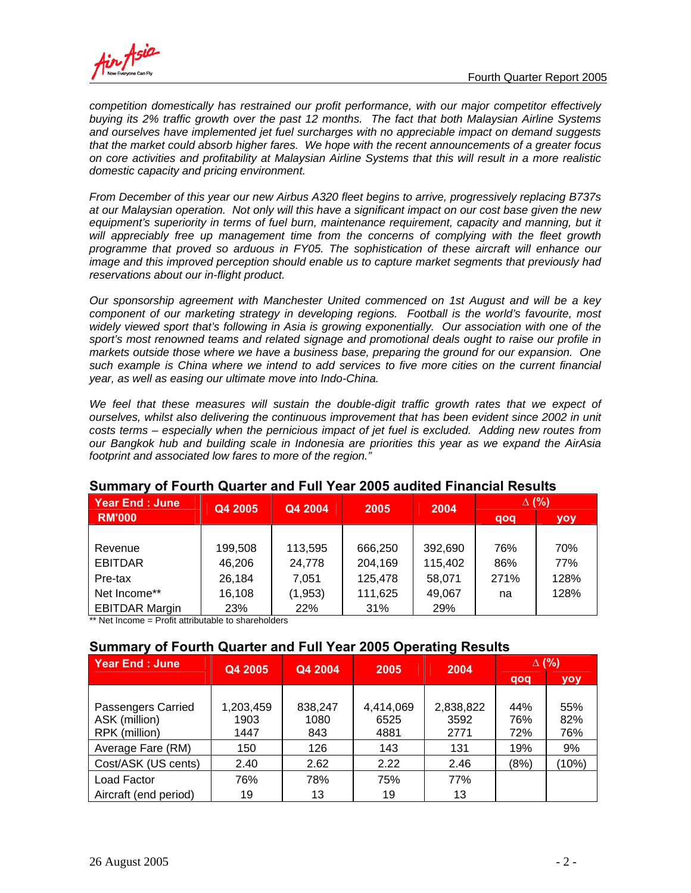

*competition domestically has restrained our profit performance, with our major competitor effectively buying its 2% traffic growth over the past 12 months. The fact that both Malaysian Airline Systems and ourselves have implemented jet fuel surcharges with no appreciable impact on demand suggests that the market could absorb higher fares. We hope with the recent announcements of a greater focus on core activities and profitability at Malaysian Airline Systems that this will result in a more realistic domestic capacity and pricing environment.* 

*From December of this year our new Airbus A320 fleet begins to arrive, progressively replacing B737s at our Malaysian operation. Not only will this have a significant impact on our cost base given the new*  equipment's superiority in terms of fuel burn, maintenance requirement, capacity and manning, but it will appreciably free up management time from the concerns of complying with the fleet growth *programme that proved so arduous in FY05. The sophistication of these aircraft will enhance our image and this improved perception should enable us to capture market segments that previously had reservations about our in-flight product.* 

*Our sponsorship agreement with Manchester United commenced on 1st August and will be a key component of our marketing strategy in developing regions. Football is the world's favourite, most widely viewed sport that's following in Asia is growing exponentially. Our association with one of the sport's most renowned teams and related signage and promotional deals ought to raise our profile in markets outside those where we have a business base, preparing the ground for our expansion. One such example is China where we intend to add services to five more cities on the current financial year, as well as easing our ultimate move into Indo-China.* 

We feel that these measures will sustain the double-digit traffic growth rates that we expect of *ourselves, whilst also delivering the continuous improvement that has been evident since 2002 in unit costs terms – especially when the pernicious impact of jet fuel is excluded. Adding new routes from our Bangkok hub and building scale in Indonesia are priorities this year as we expand the AirAsia footprint and associated low fares to more of the region."* 

| Year End: June        | Q4 2005 | Q4 2004  | 2005    | 2004    | $\Delta$ (%) |      |
|-----------------------|---------|----------|---------|---------|--------------|------|
| <b>RM'000</b>         |         |          |         |         | qoq          | yoy  |
|                       |         |          |         |         |              |      |
| Revenue               | 199,508 | 113,595  | 666,250 | 392,690 | 76%          | 70%  |
| <b>EBITDAR</b>        | 46,206  | 24,778   | 204,169 | 115,402 | 86%          | 77%  |
| Pre-tax               | 26,184  | 7,051    | 125,478 | 58,071  | 271%         | 128% |
| Net Income**          | 16,108  | (1, 953) | 111,625 | 49,067  | na           | 128% |
| <b>EBITDAR Margin</b> | 23%     | 22%      | 31%     | 29%     |              |      |

# **Summary of Fourth Quarter and Full Year 2005 audited Financial Results**

\*\* Net Income = Profit attributable to shareholders

# **Summary of Fourth Quarter and Full Year 2005 Operating Results**

| <b>Year End: June</b> | Q4 2005   | Q4 2004 | 2005      | 2004      | $\Delta$ (%) |       |
|-----------------------|-----------|---------|-----------|-----------|--------------|-------|
|                       |           |         |           |           | qoq          | yoy   |
|                       |           |         |           |           |              |       |
| Passengers Carried    | 1,203,459 | 838,247 | 4,414,069 | 2,838,822 | 44%          | 55%   |
| ASK (million)         | 1903      | 1080    | 6525      | 3592      | 76%          | 82%   |
| RPK (million)         | 1447      | 843     | 4881      | 2771      | 72%          | 76%   |
| Average Fare (RM)     | 150       | 126     | 143       | 131       | 19%          | 9%    |
| Cost/ASK (US cents)   | 2.40      | 2.62    | 2.22      | 2.46      | (8%)         | (10%) |
| Load Factor           | 76%       | 78%     | 75%       | 77%       |              |       |
| Aircraft (end period) | 19        | 13      | 19        | 13        |              |       |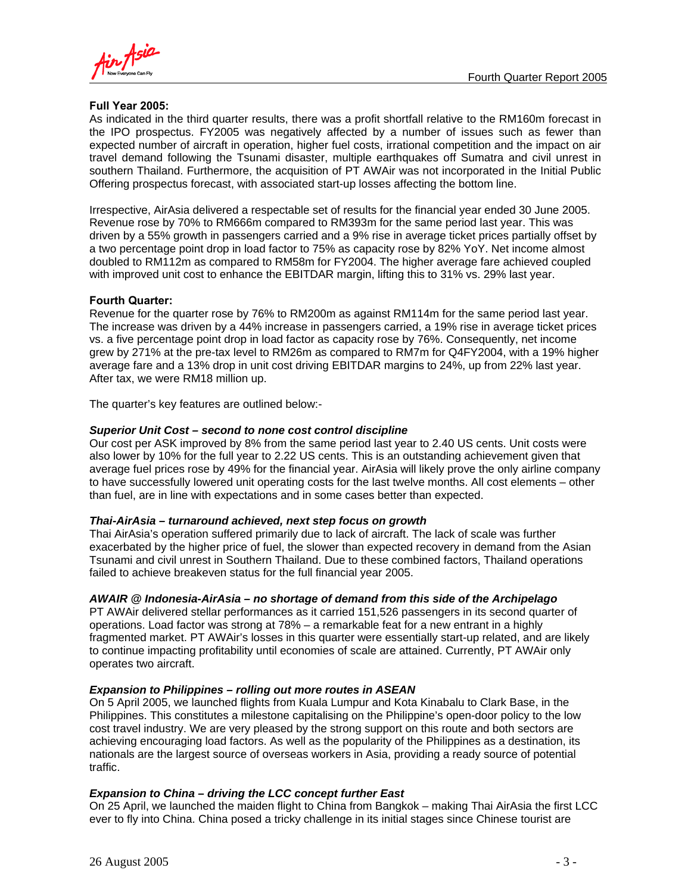

## **Full Year 2005:**

As indicated in the third quarter results, there was a profit shortfall relative to the RM160m forecast in the IPO prospectus. FY2005 was negatively affected by a number of issues such as fewer than expected number of aircraft in operation, higher fuel costs, irrational competition and the impact on air travel demand following the Tsunami disaster, multiple earthquakes off Sumatra and civil unrest in southern Thailand. Furthermore, the acquisition of PT AWAir was not incorporated in the Initial Public Offering prospectus forecast, with associated start-up losses affecting the bottom line.

Irrespective, AirAsia delivered a respectable set of results for the financial year ended 30 June 2005. Revenue rose by 70% to RM666m compared to RM393m for the same period last year. This was driven by a 55% growth in passengers carried and a 9% rise in average ticket prices partially offset by a two percentage point drop in load factor to 75% as capacity rose by 82% YoY. Net income almost doubled to RM112m as compared to RM58m for FY2004. The higher average fare achieved coupled with improved unit cost to enhance the EBITDAR margin, lifting this to 31% vs. 29% last year.

## **Fourth Quarter:**

Revenue for the quarter rose by 76% to RM200m as against RM114m for the same period last year. The increase was driven by a 44% increase in passengers carried, a 19% rise in average ticket prices vs. a five percentage point drop in load factor as capacity rose by 76%. Consequently, net income grew by 271% at the pre-tax level to RM26m as compared to RM7m for Q4FY2004, with a 19% higher average fare and a 13% drop in unit cost driving EBITDAR margins to 24%, up from 22% last year. After tax, we were RM18 million up.

The quarter's key features are outlined below:-

### *Superior Unit Cost – second to none cost control discipline*

Our cost per ASK improved by 8% from the same period last year to 2.40 US cents. Unit costs were also lower by 10% for the full year to 2.22 US cents. This is an outstanding achievement given that average fuel prices rose by 49% for the financial year. AirAsia will likely prove the only airline company to have successfully lowered unit operating costs for the last twelve months. All cost elements – other than fuel, are in line with expectations and in some cases better than expected.

### *Thai-AirAsia – turnaround achieved, next step focus on growth*

Thai AirAsia's operation suffered primarily due to lack of aircraft. The lack of scale was further exacerbated by the higher price of fuel, the slower than expected recovery in demand from the Asian Tsunami and civil unrest in Southern Thailand. Due to these combined factors, Thailand operations failed to achieve breakeven status for the full financial year 2005.

### *AWAIR @ Indonesia-AirAsia – no shortage of demand from this side of the Archipelago*

PT AWAir delivered stellar performances as it carried 151,526 passengers in its second quarter of operations. Load factor was strong at 78% – a remarkable feat for a new entrant in a highly fragmented market. PT AWAir's losses in this quarter were essentially start-up related, and are likely to continue impacting profitability until economies of scale are attained. Currently, PT AWAir only operates two aircraft.

### *Expansion to Philippines – rolling out more routes in ASEAN*

On 5 April 2005, we launched flights from Kuala Lumpur and Kota Kinabalu to Clark Base, in the Philippines. This constitutes a milestone capitalising on the Philippine's open-door policy to the low cost travel industry. We are very pleased by the strong support on this route and both sectors are achieving encouraging load factors. As well as the popularity of the Philippines as a destination, its nationals are the largest source of overseas workers in Asia, providing a ready source of potential traffic.

## *Expansion to China – driving the LCC concept further East*

On 25 April, we launched the maiden flight to China from Bangkok – making Thai AirAsia the first LCC ever to fly into China. China posed a tricky challenge in its initial stages since Chinese tourist are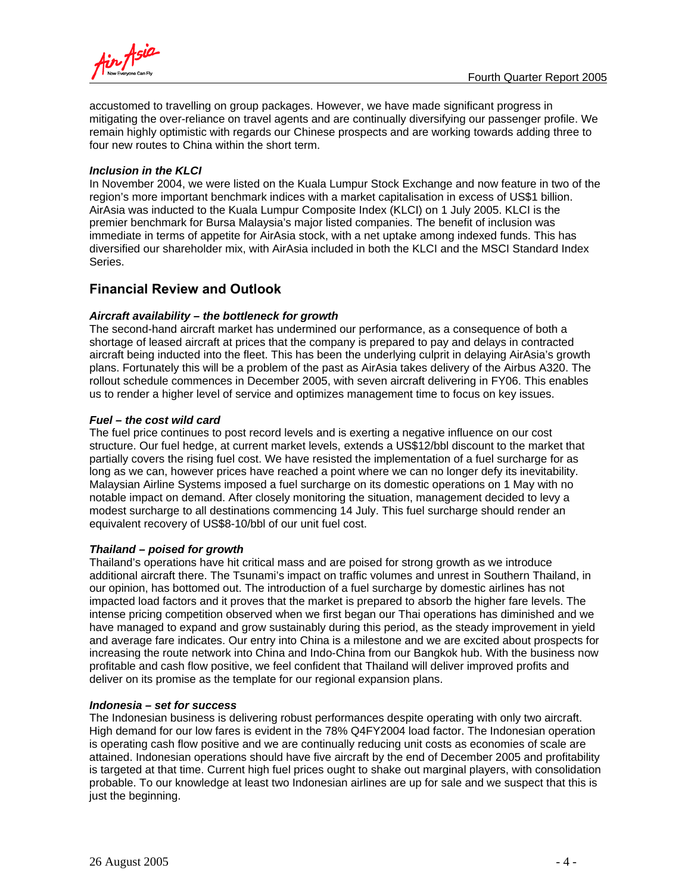

accustomed to travelling on group packages. However, we have made significant progress in mitigating the over-reliance on travel agents and are continually diversifying our passenger profile. We remain highly optimistic with regards our Chinese prospects and are working towards adding three to four new routes to China within the short term.

### *Inclusion in the KLCI*

In November 2004, we were listed on the Kuala Lumpur Stock Exchange and now feature in two of the region's more important benchmark indices with a market capitalisation in excess of US\$1 billion. AirAsia was inducted to the Kuala Lumpur Composite Index (KLCI) on 1 July 2005. KLCI is the premier benchmark for Bursa Malaysia's major listed companies. The benefit of inclusion was immediate in terms of appetite for AirAsia stock, with a net uptake among indexed funds. This has diversified our shareholder mix, with AirAsia included in both the KLCI and the MSCI Standard Index Series.

## **Financial Review and Outlook**

## *Aircraft availability – the bottleneck for growth*

The second-hand aircraft market has undermined our performance, as a consequence of both a shortage of leased aircraft at prices that the company is prepared to pay and delays in contracted aircraft being inducted into the fleet. This has been the underlying culprit in delaying AirAsia's growth plans. Fortunately this will be a problem of the past as AirAsia takes delivery of the Airbus A320. The rollout schedule commences in December 2005, with seven aircraft delivering in FY06. This enables us to render a higher level of service and optimizes management time to focus on key issues.

## *Fuel – the cost wild card*

The fuel price continues to post record levels and is exerting a negative influence on our cost structure. Our fuel hedge, at current market levels, extends a US\$12/bbl discount to the market that partially covers the rising fuel cost. We have resisted the implementation of a fuel surcharge for as long as we can, however prices have reached a point where we can no longer defy its inevitability. Malaysian Airline Systems imposed a fuel surcharge on its domestic operations on 1 May with no notable impact on demand. After closely monitoring the situation, management decided to levy a modest surcharge to all destinations commencing 14 July. This fuel surcharge should render an equivalent recovery of US\$8-10/bbl of our unit fuel cost.

### *Thailand – poised for growth*

Thailand's operations have hit critical mass and are poised for strong growth as we introduce additional aircraft there. The Tsunami's impact on traffic volumes and unrest in Southern Thailand, in our opinion, has bottomed out. The introduction of a fuel surcharge by domestic airlines has not impacted load factors and it proves that the market is prepared to absorb the higher fare levels. The intense pricing competition observed when we first began our Thai operations has diminished and we have managed to expand and grow sustainably during this period, as the steady improvement in yield and average fare indicates. Our entry into China is a milestone and we are excited about prospects for increasing the route network into China and Indo-China from our Bangkok hub. With the business now profitable and cash flow positive, we feel confident that Thailand will deliver improved profits and deliver on its promise as the template for our regional expansion plans.

### *Indonesia – set for success*

The Indonesian business is delivering robust performances despite operating with only two aircraft. High demand for our low fares is evident in the 78% Q4FY2004 load factor. The Indonesian operation is operating cash flow positive and we are continually reducing unit costs as economies of scale are attained. Indonesian operations should have five aircraft by the end of December 2005 and profitability is targeted at that time. Current high fuel prices ought to shake out marginal players, with consolidation probable. To our knowledge at least two Indonesian airlines are up for sale and we suspect that this is just the beginning.